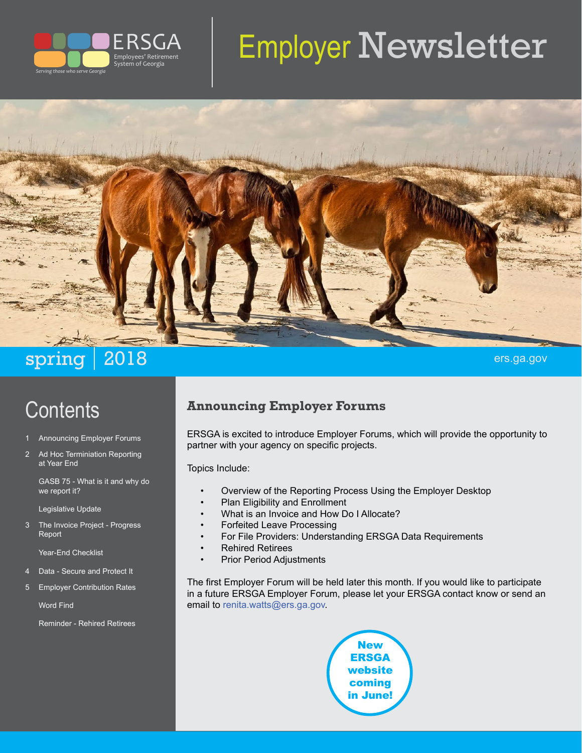

# Employer Newsletter



# spring 2018 ers.ga.gov

# **Contents**

- 1 Announcing Employer Forums
- 2 Ad Hoc Terminiation Reporting at Year End

GASB 75 - What is it and why do we report it?

Legislative Update

3 The Invoice Project - Progress Report

Year-End Checklist

- 4 Data Secure and Protect It
- 5 Employer Contribution Rates

Word Find

Reminder - Rehired Retirees

#### **Announcing Employer Forums**

ERSGA is excited to introduce Employer Forums, which will provide the opportunity to partner with your agency on specific projects.

Topics Include:

- Overview of the Reporting Process Using the Employer Desktop
- Plan Eligibility and Enrollment
- What is an Invoice and How Do I Allocate?
- Forfeited Leave Processing
- For File Providers: Understanding ERSGA Data Requirements
- Rehired Retirees
- Prior Period Adjustments

The first Employer Forum will be held later this month. If you would like to participate in a future ERSGA Employer Forum, please let your ERSGA contact know or send an email to [renita.watts@ers.ga.gov.](mailto:renita.watts@ers.ga.gov)

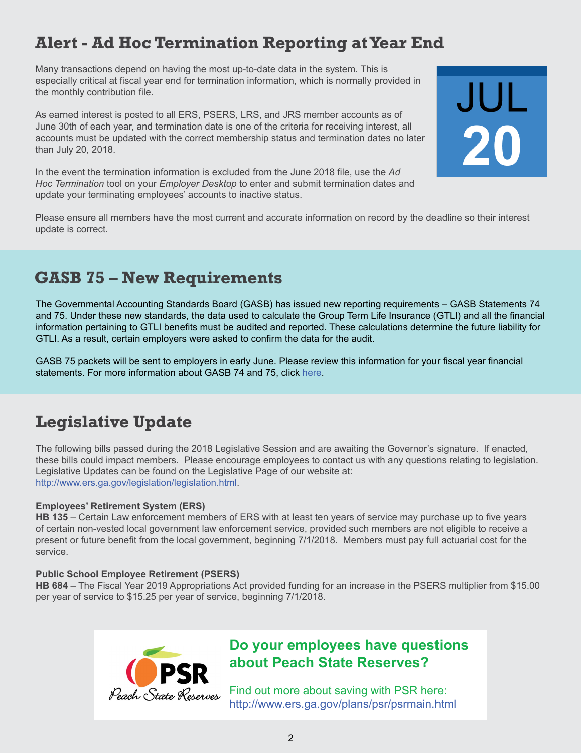## **Alert - Ad Hoc Termination Reporting at Year End**

Many transactions depend on having the most up-to-date data in the system. This is especially critical at fiscal year end for termination information, which is normally provided in the monthly contribution file.

As earned interest is posted to all ERS, PSERS, LRS, and JRS member accounts as of June 30th of each year, and termination date is one of the criteria for receiving interest, all accounts must be updated with the correct membership status and termination dates no later than July 20, 2018.

In the event the termination information is excluded from the June 2018 file, use the *Ad Hoc Termination* tool on your *Employer Desktop* to enter and submit termination dates and update your terminating employees' accounts to inactive status.

Please ensure all members have the most current and accurate information on record by the deadline so their interest update is correct.

JUL

## **GASB 75 – New Requirements**

The Governmental Accounting Standards Board (GASB) has issued new reporting requirements – GASB Statements 74 and 75. Under these new standards, the data used to calculate the Group Term Life Insurance (GTLI) and all the financial information pertaining to GTLI benefits must be audited and reported. These calculations determine the future liability for GTLI. As a result, certain employers were asked to confirm the data for the audit.

GASB 75 packets will be sent to employers in early June. Please review this information for your fiscal year financial statements. For more information about GASB 74 and 75, click [here](http://www.gasb.org/jsp/GASB/GASBContent_C/ProjectPage&cid=1176166904842).

## **Legislative Update**

The following bills passed during the 2018 Legislative Session and are awaiting the Governor's signature. If enacted, these bills could impact members. Please encourage employees to contact us with any questions relating to legislation. Legislative Updates can be found on the Legislative Page of our website at: <http://www.ers.ga.gov/legislation/legislation.html>.

#### **Employees' Retirement System (ERS)**

**HB 135** – Certain Law enforcement members of ERS with at least ten years of service may purchase up to five years of certain non-vested local government law enforcement service, provided such members are not eligible to receive a present or future benefit from the local government, beginning 7/1/2018. Members must pay full actuarial cost for the service.

#### **Public School Employee Retirement (PSERS)**

**HB 684** – The Fiscal Year 2019 Appropriations Act provided funding for an increase in the PSERS multiplier from \$15.00 per year of service to \$15.25 per year of service, beginning 7/1/2018.



#### **Do your employees have questions about Peach State Reserves?**

Find out more about saving with PSR here: <http://www.ers.ga.gov/plans/psr/psrmain.html>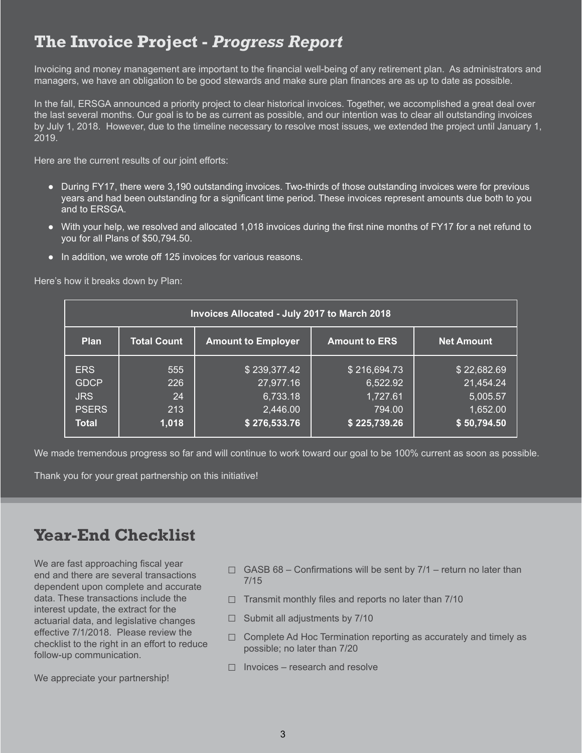## **The Invoice Project -** *Progress Report*

Invoicing and money management are important to the financial well-being of any retirement plan. As administrators and managers, we have an obligation to be good stewards and make sure plan finances are as up to date as possible.

In the fall, ERSGA announced a priority project to clear historical invoices. Together, we accomplished a great deal over the last several months. Our goal is to be as current as possible, and our intention was to clear all outstanding invoices by July 1, 2018. However, due to the timeline necessary to resolve most issues, we extended the project until January 1, 2019.

Here are the current results of our joint efforts:

- During FY17, there were 3,190 outstanding invoices. Two-thirds of those outstanding invoices were for previous years and had been outstanding for a significant time period. These invoices represent amounts due both to you and to ERSGA.
- With your help, we resolved and allocated 1,018 invoices during the first nine months of FY17 for a net refund to you for all Plans of \$50,794.50.
- In addition, we wrote off 125 invoices for various reasons.

Here's how it breaks down by Plan:

| Invoices Allocated - July 2017 to March 2018 |                    |                           |                      |                   |  |  |
|----------------------------------------------|--------------------|---------------------------|----------------------|-------------------|--|--|
| <b>Plan</b>                                  | <b>Total Count</b> | <b>Amount to Employer</b> | <b>Amount to ERS</b> | <b>Net Amount</b> |  |  |
| <b>ERS</b>                                   | 555                | \$239,377.42              | \$216,694.73         | \$22,682.69       |  |  |
| <b>GDCP</b>                                  | 226                | 27,977.16                 | 6,522.92             | 21,454.24         |  |  |
| <b>JRS</b>                                   | 24                 | 6,733.18                  | 1,727.61             | 5,005.57          |  |  |
| <b>PSERS</b>                                 | 213                | 2,446.00                  | 794.00               | 1,652.00          |  |  |
| <b>Total</b>                                 | 1,018              | \$276,533.76              | \$225,739.26         | \$50,794.50       |  |  |

We made tremendous progress so far and will continue to work toward our goal to be 100% current as soon as possible.

Thank you for your great partnership on this initiative!

## **Year-End Checklist**

We are fast approaching fiscal year end and there are several transactions dependent upon complete and accurate data. These transactions include the interest update, the extract for the actuarial data, and legislative changes effective 7/1/2018. Please review the checklist to the right in an effort to reduce follow-up communication.

We appreciate your partnership!

- $\Box$  GASB 68 Confirmations will be sent by 7/1 return no later than 7/15
- $\Box$  Transmit monthly files and reports no later than 7/10
- $\Box$  Submit all adjustments by 7/10
- $\Box$  Complete Ad Hoc Termination reporting as accurately and timely as possible; no later than 7/20
- $\Box$  Invoices research and resolve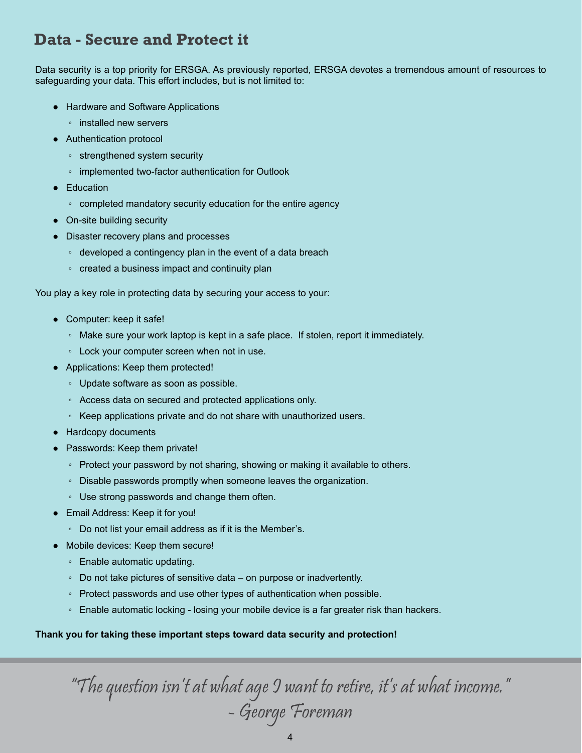#### **Data - Secure and Protect it**

Data security is a top priority for ERSGA. As previously reported, ERSGA devotes a tremendous amount of resources to safeguarding your data. This effort includes, but is not limited to:

- Hardware and Software Applications
	- installed new servers
- Authentication protocol
	- strengthened system security
	- implemented two-factor authentication for Outlook
- Education
	- completed mandatory security education for the entire agency
- On-site building security
- Disaster recovery plans and processes
	- developed a contingency plan in the event of a data breach
	- created a business impact and continuity plan

You play a key role in protecting data by securing your access to your:

- Computer: keep it safe!
	- Make sure your work laptop is kept in a safe place. If stolen, report it immediately.
	- Lock your computer screen when not in use.
- Applications: Keep them protected!
	- Update software as soon as possible.
	- Access data on secured and protected applications only.
	- Keep applications private and do not share with unauthorized users.
- Hardcopy documents
- Passwords: Keep them private!
	- Protect your password by not sharing, showing or making it available to others.
	- Disable passwords promptly when someone leaves the organization.
	- Use strong passwords and change them often.
- Email Address: Keep it for you!
	- Do not list your email address as if it is the Member's.
- Mobile devices: Keep them secure!
	- Enable automatic updating.
	- Do not take pictures of sensitive data on purpose or inadvertently.
	- Protect passwords and use other types of authentication when possible.
	- Enable automatic locking losing your mobile device is a far greater risk than hackers.

#### **Thank you for taking these important steps toward data security and protection!**

"The question isn't at what age I want to retire, it's at what income." - George Foreman